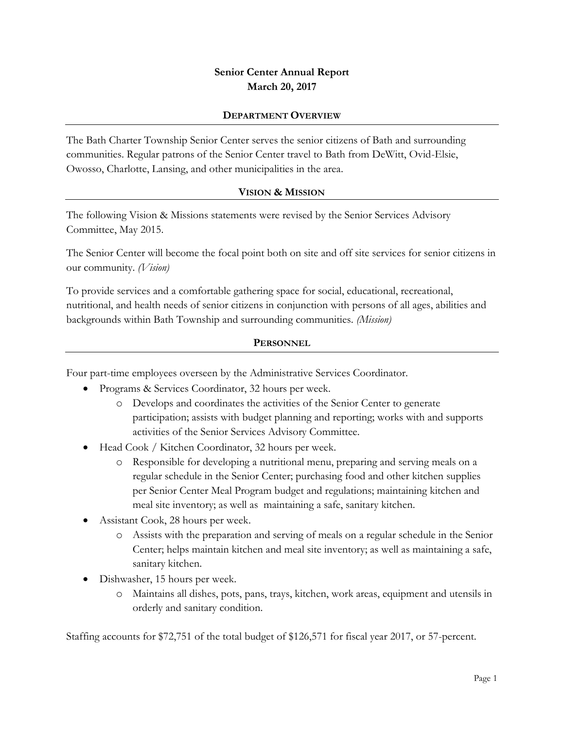## **Senior Center Annual Report March 20, 2017**

#### **DEPARTMENT OVERVIEW**

The Bath Charter Township Senior Center serves the senior citizens of Bath and surrounding communities. Regular patrons of the Senior Center travel to Bath from DeWitt, Ovid-Elsie, Owosso, Charlotte, Lansing, and other municipalities in the area.

#### **VISION & MISSION**

The following Vision & Missions statements were revised by the Senior Services Advisory Committee, May 2015.

The Senior Center will become the focal point both on site and off site services for senior citizens in our community. *(Vision)*

To provide services and a comfortable gathering space for social, educational, recreational, nutritional, and health needs of senior citizens in conjunction with persons of all ages, abilities and backgrounds within Bath Township and surrounding communities. *(Mission)*

#### **PERSONNEL**

Four part-time employees overseen by the Administrative Services Coordinator.

- Programs & Services Coordinator, 32 hours per week.
	- o Develops and coordinates the activities of the Senior Center to generate participation; assists with budget planning and reporting; works with and supports activities of the Senior Services Advisory Committee.
- Head Cook / Kitchen Coordinator, 32 hours per week.
	- o Responsible for developing a nutritional menu, preparing and serving meals on a regular schedule in the Senior Center; purchasing food and other kitchen supplies per Senior Center Meal Program budget and regulations; maintaining kitchen and meal site inventory; as well as maintaining a safe, sanitary kitchen.
- Assistant Cook, 28 hours per week.
	- o Assists with the preparation and serving of meals on a regular schedule in the Senior Center; helps maintain kitchen and meal site inventory; as well as maintaining a safe, sanitary kitchen.
- Dishwasher, 15 hours per week.
	- o Maintains all dishes, pots, pans, trays, kitchen, work areas, equipment and utensils in orderly and sanitary condition.

Staffing accounts for \$72,751 of the total budget of \$126,571 for fiscal year 2017, or 57-percent.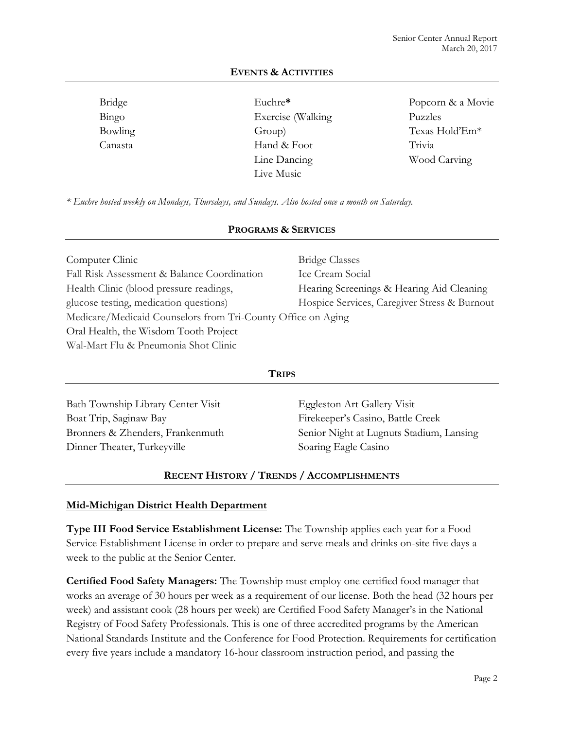| Bridge  | Euchre*            | Popcorn & a Movie |
|---------|--------------------|-------------------|
| Bingo   | Exercise (Walking) | Puzzles           |
| Bowling | Group)             | Texas Hold'Em*    |
| Canasta | Hand & Foot        | Trivia            |
|         | Line Dancing       | Wood Carving      |
|         | Live Music         |                   |

## **EVENTS & ACTIVITIES**

*\* Euchre hosted weekly on Mondays, Thursdays, and Sundays. Also hosted once a month on Saturday.*

#### **PROGRAMS & SERVICES**

| Computer Clinic                                              | <b>Bridge Classes</b>                        |
|--------------------------------------------------------------|----------------------------------------------|
| Fall Risk Assessment & Balance Coordination                  | Ice Cream Social                             |
| Health Clinic (blood pressure readings,                      | Hearing Screenings & Hearing Aid Cleaning    |
| glucose testing, medication questions)                       | Hospice Services, Caregiver Stress & Burnout |
| Medicare/Medicaid Counselors from Tri-County Office on Aging |                                              |
| Oral Health, the Wisdom Tooth Project                        |                                              |
| Wal-Mart Flu & Pneumonia Shot Clinic                         |                                              |

#### **TRIPS**

Bath Township Library Center Visit Boat Trip, Saginaw Bay Bronners & Zhenders, Frankenmuth Dinner Theater, Turkeyville Eggleston Art Gallery Visit Firekeeper's Casino, Battle Creek Senior Night at Lugnuts Stadium, Lansing Soaring Eagle Casino

#### **RECENT HISTORY / TRENDS / ACCOMPLISHMENTS**

#### **Mid-Michigan District Health Department**

**Type III Food Service Establishment License:** The Township applies each year for a Food Service Establishment License in order to prepare and serve meals and drinks on-site five days a week to the public at the Senior Center.

**Certified Food Safety Managers:** The Township must employ one certified food manager that works an average of 30 hours per week as a requirement of our license. Both the head (32 hours per week) and assistant cook (28 hours per week) are Certified Food Safety Manager's in the National Registry of Food Safety Professionals. This is one of three accredited programs by the American National Standards Institute and the Conference for Food Protection. Requirements for certification every five years include a mandatory 16-hour classroom instruction period, and passing the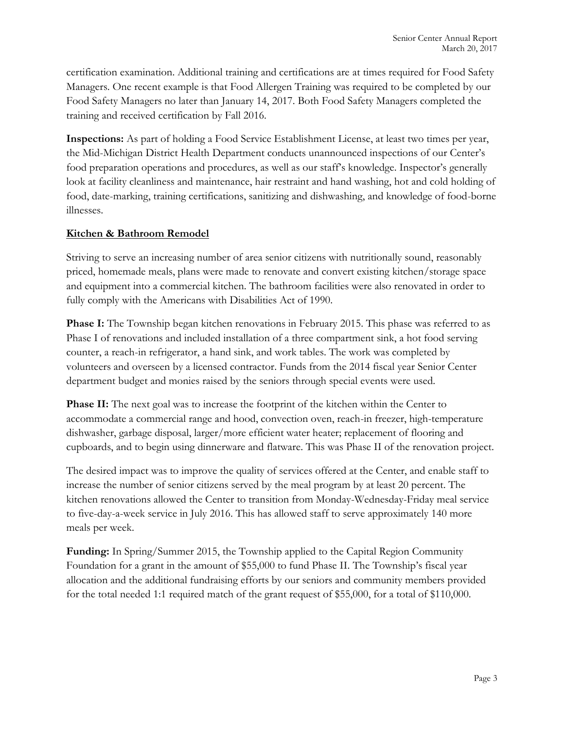certification examination. Additional training and certifications are at times required for Food Safety Managers. One recent example is that Food Allergen Training was required to be completed by our Food Safety Managers no later than January 14, 2017. Both Food Safety Managers completed the training and received certification by Fall 2016.

**Inspections:** As part of holding a Food Service Establishment License, at least two times per year, the Mid-Michigan District Health Department conducts unannounced inspections of our Center's food preparation operations and procedures, as well as our staff's knowledge. Inspector's generally look at facility cleanliness and maintenance, hair restraint and hand washing, hot and cold holding of food, date-marking, training certifications, sanitizing and dishwashing, and knowledge of food-borne illnesses.

## **Kitchen & Bathroom Remodel**

Striving to serve an increasing number of area senior citizens with nutritionally sound, reasonably priced, homemade meals, plans were made to renovate and convert existing kitchen/storage space and equipment into a commercial kitchen. The bathroom facilities were also renovated in order to fully comply with the Americans with Disabilities Act of 1990.

**Phase I:** The Township began kitchen renovations in February 2015. This phase was referred to as Phase I of renovations and included installation of a three compartment sink, a hot food serving counter, a reach-in refrigerator, a hand sink, and work tables. The work was completed by volunteers and overseen by a licensed contractor. Funds from the 2014 fiscal year Senior Center department budget and monies raised by the seniors through special events were used.

**Phase II:** The next goal was to increase the footprint of the kitchen within the Center to accommodate a commercial range and hood, convection oven, reach-in freezer, high-temperature dishwasher, garbage disposal, larger/more efficient water heater; replacement of flooring and cupboards, and to begin using dinnerware and flatware. This was Phase II of the renovation project.

The desired impact was to improve the quality of services offered at the Center, and enable staff to increase the number of senior citizens served by the meal program by at least 20 percent. The kitchen renovations allowed the Center to transition from Monday-Wednesday-Friday meal service to five-day-a-week service in July 2016. This has allowed staff to serve approximately 140 more meals per week.

**Funding:** In Spring/Summer 2015, the Township applied to the Capital Region Community Foundation for a grant in the amount of \$55,000 to fund Phase II. The Township's fiscal year allocation and the additional fundraising efforts by our seniors and community members provided for the total needed 1:1 required match of the grant request of \$55,000, for a total of \$110,000.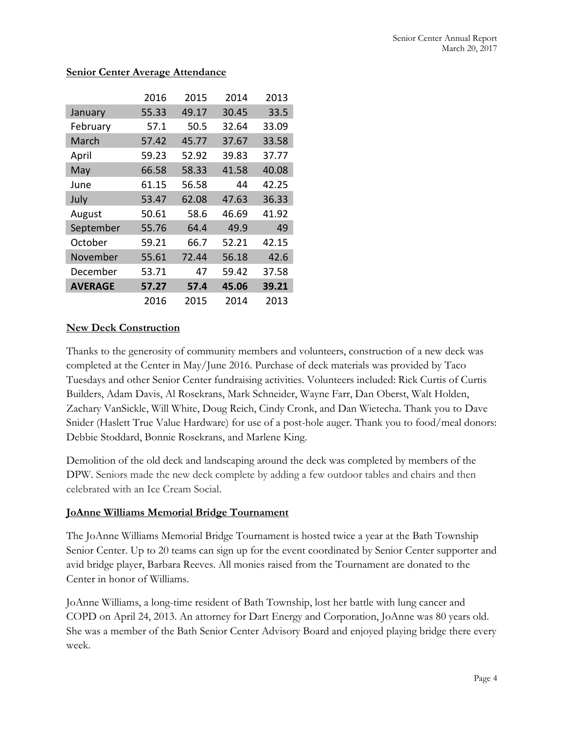|                | 2016  | 2015  | 2014  | 2013  |
|----------------|-------|-------|-------|-------|
| January        | 55.33 | 49.17 | 30.45 | 33.5  |
| February       | 57.1  | 50.5  | 32.64 | 33.09 |
| March          | 57.42 | 45.77 | 37.67 | 33.58 |
| April          | 59.23 | 52.92 | 39.83 | 37.77 |
| May            | 66.58 | 58.33 | 41.58 | 40.08 |
| June           | 61.15 | 56.58 | 44    | 42.25 |
| July           | 53.47 | 62.08 | 47.63 | 36.33 |
| August         | 50.61 | 58.6  | 46.69 | 41.92 |
| September      | 55.76 | 64.4  | 49.9  | 49    |
| October        | 59.21 | 66.7  | 52.21 | 42.15 |
| November       | 55.61 | 72.44 | 56.18 | 42.6  |
| December       | 53.71 | 47    | 59.42 | 37.58 |
| <b>AVERAGE</b> | 57.27 | 57.4  | 45.06 | 39.21 |
|                | 2016  | 2015  | 2014  | 2013  |

#### **Senior Center Average Attendance**

## **New Deck Construction**

Thanks to the generosity of community members and volunteers, construction of a new deck was completed at the Center in May/June 2016. Purchase of deck materials was provided by Taco Tuesdays and other Senior Center fundraising activities. Volunteers included: Rick Curtis of Curtis Builders, Adam Davis, Al Rosekrans, Mark Schneider, Wayne Farr, Dan Oberst, Walt Holden, Zachary VanSickle, Will White, Doug Reich, Cindy Cronk, and Dan Wietecha. Thank you to Dave Snider (Haslett True Value Hardware) for use of a post-hole auger. Thank you to food/meal donors: Debbie Stoddard, Bonnie Rosekrans, and Marlene King.

Demolition of the old deck and landscaping around the deck was completed by members of the DPW. Seniors made the new deck complete by adding a few outdoor tables and chairs and then celebrated with an Ice Cream Social.

#### **JoAnne Williams Memorial Bridge Tournament**

The JoAnne Williams Memorial Bridge Tournament is hosted twice a year at the Bath Township Senior Center. Up to 20 teams can sign up for the event coordinated by Senior Center supporter and avid bridge player, Barbara Reeves. All monies raised from the Tournament are donated to the Center in honor of Williams.

JoAnne Williams, a long-time resident of Bath Township, lost her battle with lung cancer and COPD on April 24, 2013. An attorney for Dart Energy and Corporation, JoAnne was 80 years old. She was a member of the Bath Senior Center Advisory Board and enjoyed playing bridge there every week.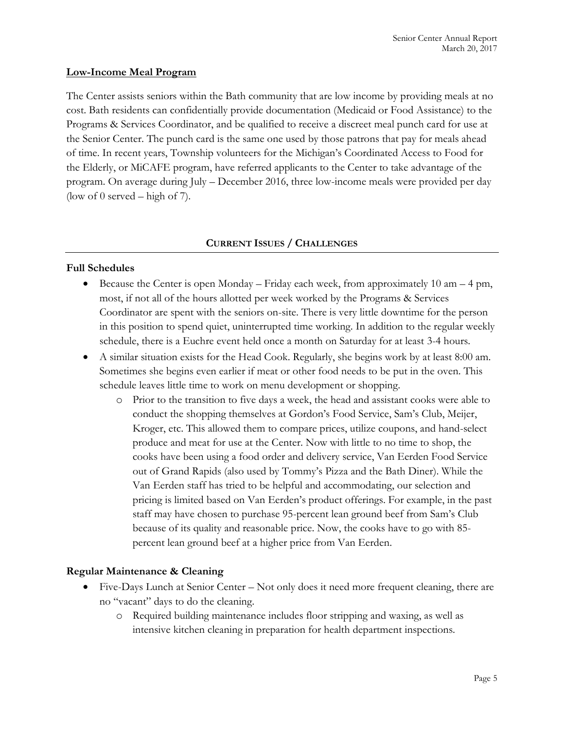#### **Low-Income Meal Program**

The Center assists seniors within the Bath community that are low income by providing meals at no cost. Bath residents can confidentially provide documentation (Medicaid or Food Assistance) to the Programs & Services Coordinator, and be qualified to receive a discreet meal punch card for use at the Senior Center. The punch card is the same one used by those patrons that pay for meals ahead of time. In recent years, Township volunteers for the Michigan's Coordinated Access to Food for the Elderly, or MiCAFE program, have referred applicants to the Center to take advantage of the program. On average during July – December 2016, three low-income meals were provided per day (low of 0 served – high of 7).

#### **CURRENT ISSUES / CHALLENGES**

#### **Full Schedules**

- Because the Center is open Monday Friday each week, from approximately 10 am 4 pm, most, if not all of the hours allotted per week worked by the Programs & Services Coordinator are spent with the seniors on-site. There is very little downtime for the person in this position to spend quiet, uninterrupted time working. In addition to the regular weekly schedule, there is a Euchre event held once a month on Saturday for at least 3-4 hours.
- A similar situation exists for the Head Cook. Regularly, she begins work by at least 8:00 am. Sometimes she begins even earlier if meat or other food needs to be put in the oven. This schedule leaves little time to work on menu development or shopping.
	- o Prior to the transition to five days a week, the head and assistant cooks were able to conduct the shopping themselves at Gordon's Food Service, Sam's Club, Meijer, Kroger, etc. This allowed them to compare prices, utilize coupons, and hand-select produce and meat for use at the Center. Now with little to no time to shop, the cooks have been using a food order and delivery service, Van Eerden Food Service out of Grand Rapids (also used by Tommy's Pizza and the Bath Diner). While the Van Eerden staff has tried to be helpful and accommodating, our selection and pricing is limited based on Van Eerden's product offerings. For example, in the past staff may have chosen to purchase 95-percent lean ground beef from Sam's Club because of its quality and reasonable price. Now, the cooks have to go with 85 percent lean ground beef at a higher price from Van Eerden.

#### **Regular Maintenance & Cleaning**

- Five-Days Lunch at Senior Center Not only does it need more frequent cleaning, there are no "vacant" days to do the cleaning.
	- o Required building maintenance includes floor stripping and waxing, as well as intensive kitchen cleaning in preparation for health department inspections.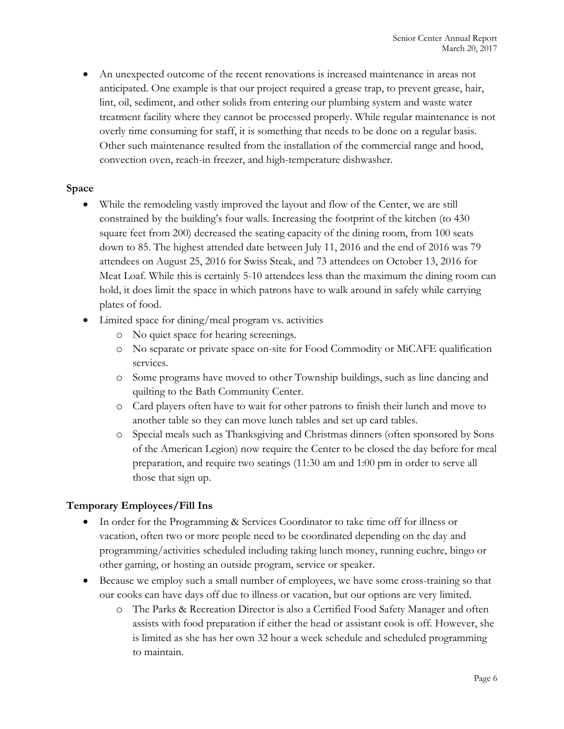An unexpected outcome of the recent renovations is increased maintenance in areas not anticipated. One example is that our project required a grease trap, to prevent grease, hair, lint, oil, sediment, and other solids from entering our plumbing system and waste water treatment facility where they cannot be processed properly. While regular maintenance is not overly time consuming for staff, it is something that needs to be done on a regular basis. Other such maintenance resulted from the installation of the commercial range and hood, convection oven, reach-in freezer, and high-temperature dishwasher.

## **Space**

- While the remodeling vastly improved the layout and flow of the Center, we are still constrained by the building's four walls. Increasing the footprint of the kitchen (to 430 square feet from 200) decreased the seating capacity of the dining room, from 100 seats down to 85. The highest attended date between July 11, 2016 and the end of 2016 was 79 attendees on August 25, 2016 for Swiss Steak, and 73 attendees on October 13, 2016 for Meat Loaf. While this is certainly 5-10 attendees less than the maximum the dining room can hold, it does limit the space in which patrons have to walk around in safely while carrying plates of food.
- Limited space for dining/meal program vs. activities
	- o No quiet space for hearing screenings.
	- o No separate or private space on-site for Food Commodity or MiCAFE qualification services.
	- o Some programs have moved to other Township buildings, such as line dancing and quilting to the Bath Community Center.
	- o Card players often have to wait for other patrons to finish their lunch and move to another table so they can move lunch tables and set up card tables.
	- o Special meals such as Thanksgiving and Christmas dinners (often sponsored by Sons of the American Legion) now require the Center to be closed the day before for meal preparation, and require two seatings (11:30 am and 1:00 pm in order to serve all those that sign up.

## **Temporary Employees/Fill Ins**

- In order for the Programming & Services Coordinator to take time off for illness or vacation, often two or more people need to be coordinated depending on the day and programming/activities scheduled including taking lunch money, running euchre, bingo or other gaming, or hosting an outside program, service or speaker.
- Because we employ such a small number of employees, we have some cross-training so that our cooks can have days off due to illness or vacation, but our options are very limited.
	- o The Parks & Recreation Director is also a Certified Food Safety Manager and often assists with food preparation if either the head or assistant cook is off. However, she is limited as she has her own 32 hour a week schedule and scheduled programming to maintain.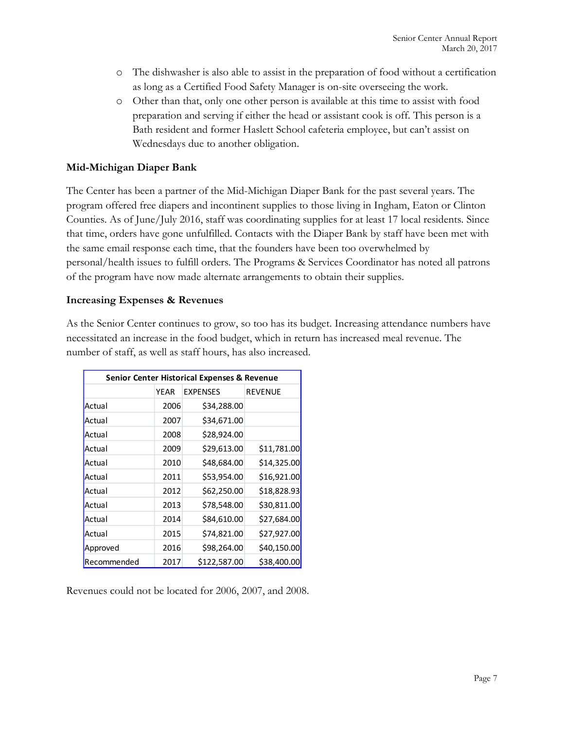- o The dishwasher is also able to assist in the preparation of food without a certification as long as a Certified Food Safety Manager is on-site overseeing the work.
- o Other than that, only one other person is available at this time to assist with food preparation and serving if either the head or assistant cook is off. This person is a Bath resident and former Haslett School cafeteria employee, but can't assist on Wednesdays due to another obligation.

## **Mid-Michigan Diaper Bank**

The Center has been a partner of the Mid-Michigan Diaper Bank for the past several years. The program offered free diapers and incontinent supplies to those living in Ingham, Eaton or Clinton Counties. As of June/July 2016, staff was coordinating supplies for at least 17 local residents. Since that time, orders have gone unfulfilled. Contacts with the Diaper Bank by staff have been met with the same email response each time, that the founders have been too overwhelmed by personal/health issues to fulfill orders. The Programs & Services Coordinator has noted all patrons of the program have now made alternate arrangements to obtain their supplies.

#### **Increasing Expenses & Revenues**

As the Senior Center continues to grow, so too has its budget. Increasing attendance numbers have necessitated an increase in the food budget, which in return has increased meal revenue. The number of staff, as well as staff hours, has also increased.

| <b>Senior Center Historical Expenses &amp; Revenue</b> |      |                 |                |  |
|--------------------------------------------------------|------|-----------------|----------------|--|
|                                                        | YEAR | <b>EXPENSES</b> | <b>REVENUE</b> |  |
| Actual                                                 | 2006 | \$34,288.00     |                |  |
| Actual                                                 | 2007 | \$34,671.00     |                |  |
| Actual                                                 | 2008 | \$28,924.00     |                |  |
| Actual                                                 | 2009 | \$29,613.00     | \$11,781.00    |  |
| Actual                                                 | 2010 | \$48,684.00     | \$14,325.00    |  |
| Actual                                                 | 2011 | \$53,954.00     | \$16,921.00    |  |
| Actual                                                 | 2012 | \$62,250.00     | \$18,828.93    |  |
| Actual                                                 | 2013 | \$78,548.00     | \$30,811.00    |  |
| Actual                                                 | 2014 | \$84,610.00     | \$27,684.00    |  |
| Actual                                                 | 2015 | \$74,821.00     | \$27,927.00    |  |
| Approved                                               | 2016 | \$98,264.00     | \$40,150.00    |  |
| Recommended                                            | 2017 | \$122,587.00    | \$38,400.00    |  |

Revenues could not be located for 2006, 2007, and 2008.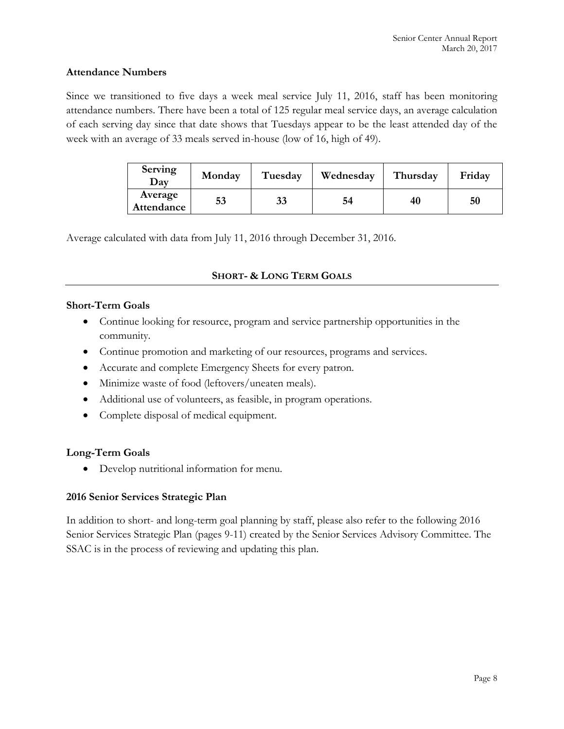#### **Attendance Numbers**

Since we transitioned to five days a week meal service July 11, 2016, staff has been monitoring attendance numbers. There have been a total of 125 regular meal service days, an average calculation of each serving day since that date shows that Tuesdays appear to be the least attended day of the week with an average of 33 meals served in-house (low of 16, high of 49).

| Serving<br>Dav        | Monday | Tuesday | Wednesday | Thursday | Friday |
|-----------------------|--------|---------|-----------|----------|--------|
| Average<br>Attendance | 53     | 33      | 54        | 40       | 50     |

Average calculated with data from July 11, 2016 through December 31, 2016.

## **SHORT- & LONG TERM GOALS**

#### **Short-Term Goals**

- Continue looking for resource, program and service partnership opportunities in the community.
- Continue promotion and marketing of our resources, programs and services.
- Accurate and complete Emergency Sheets for every patron.
- Minimize waste of food (leftovers/uneaten meals).
- Additional use of volunteers, as feasible, in program operations.
- Complete disposal of medical equipment.

## **Long-Term Goals**

Develop nutritional information for menu.

## **2016 Senior Services Strategic Plan**

In addition to short- and long-term goal planning by staff, please also refer to the following 2016 Senior Services Strategic Plan (pages 9-11) created by the Senior Services Advisory Committee. The SSAC is in the process of reviewing and updating this plan.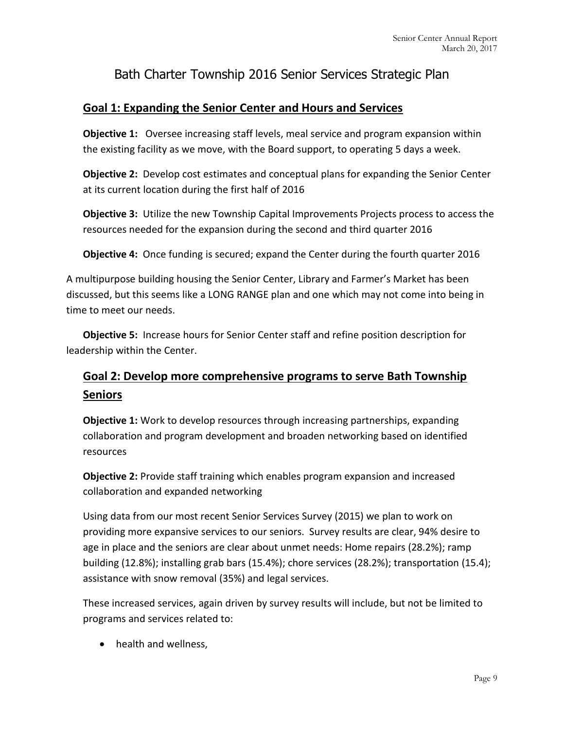# Bath Charter Township 2016 Senior Services Strategic Plan

## **Goal 1: Expanding the Senior Center and Hours and Services**

**Objective 1:** Oversee increasing staff levels, meal service and program expansion within the existing facility as we move, with the Board support, to operating 5 days a week.

**Objective 2:** Develop cost estimates and conceptual plans for expanding the Senior Center at its current location during the first half of 2016

**Objective 3:** Utilize the new Township Capital Improvements Projects process to access the resources needed for the expansion during the second and third quarter 2016

**Objective 4:** Once funding is secured; expand the Center during the fourth quarter 2016

A multipurpose building housing the Senior Center, Library and Farmer's Market has been discussed, but this seems like a LONG RANGE plan and one which may not come into being in time to meet our needs.

**Objective 5:** Increase hours for Senior Center staff and refine position description for leadership within the Center.

# **Goal 2: Develop more comprehensive programs to serve Bath Township Seniors**

**Objective 1:** Work to develop resources through increasing partnerships, expanding collaboration and program development and broaden networking based on identified resources

**Objective 2:** Provide staff training which enables program expansion and increased collaboration and expanded networking

Using data from our most recent Senior Services Survey (2015) we plan to work on providing more expansive services to our seniors. Survey results are clear, 94% desire to age in place and the seniors are clear about unmet needs: Home repairs (28.2%); ramp building (12.8%); installing grab bars (15.4%); chore services (28.2%); transportation (15.4); assistance with snow removal (35%) and legal services.

These increased services, again driven by survey results will include, but not be limited to programs and services related to:

• health and wellness.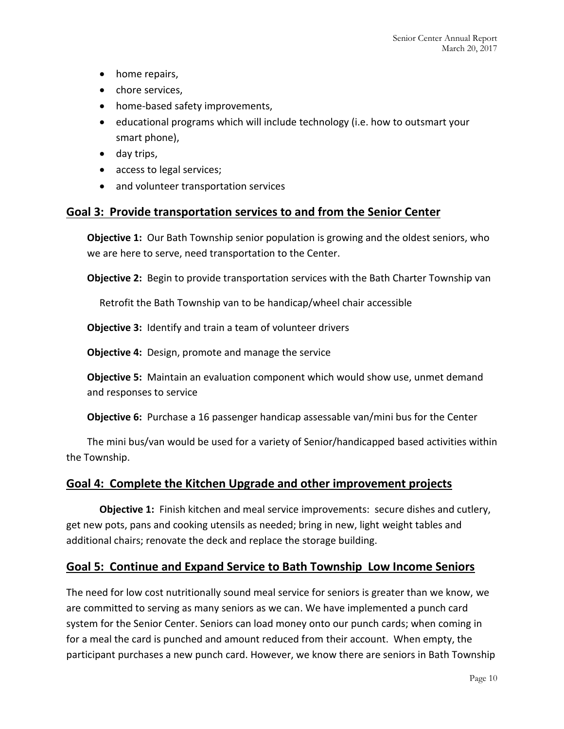- home repairs,
- chore services,
- home-based safety improvements,
- educational programs which will include technology (i.e. how to outsmart your smart phone),
- day trips,
- access to legal services;
- and volunteer transportation services

## **Goal 3: Provide transportation services to and from the Senior Center**

**Objective 1:** Our Bath Township senior population is growing and the oldest seniors, who we are here to serve, need transportation to the Center.

**Objective 2:** Begin to provide transportation services with the Bath Charter Township van

Retrofit the Bath Township van to be handicap/wheel chair accessible

**Objective 3:** Identify and train a team of volunteer drivers

**Objective 4:** Design, promote and manage the service

**Objective 5:** Maintain an evaluation component which would show use, unmet demand and responses to service

**Objective 6:** Purchase a 16 passenger handicap assessable van/mini bus for the Center

The mini bus/van would be used for a variety of Senior/handicapped based activities within the Township.

## **Goal 4: Complete the Kitchen Upgrade and other improvement projects**

**Objective 1:** Finish kitchen and meal service improvements: secure dishes and cutlery, get new pots, pans and cooking utensils as needed; bring in new, light weight tables and additional chairs; renovate the deck and replace the storage building.

## **Goal 5: Continue and Expand Service to Bath Township Low Income Seniors**

The need for low cost nutritionally sound meal service for seniors is greater than we know, we are committed to serving as many seniors as we can. We have implemented a punch card system for the Senior Center. Seniors can load money onto our punch cards; when coming in for a meal the card is punched and amount reduced from their account. When empty, the participant purchases a new punch card. However, we know there are seniors in Bath Township